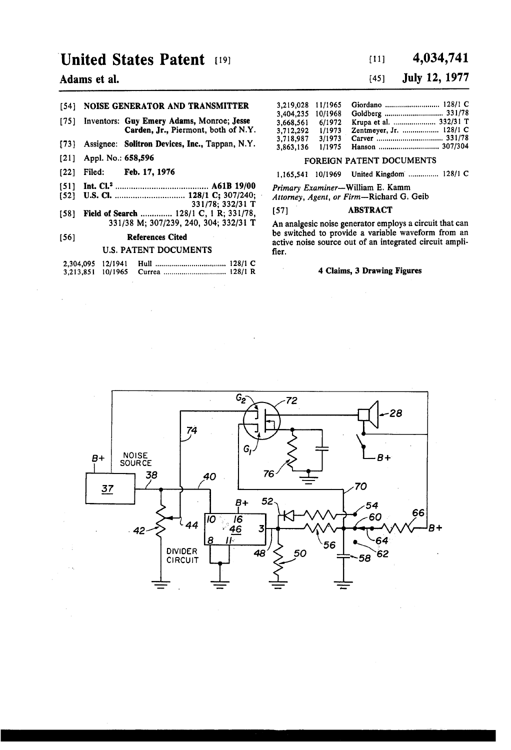## United States Patent (19)

## Adams et al.

### (54) NOISE GENERATOR AND TRANSMITTER

- [75] Inventors: Guy Emery Adams, Monroe; Jesse Carden, Jr., Piermont, both of N.Y.
- 73 Assignee: Solitron Devices, Inc., Tappan, N.Y.
- 21 ) Appl. No.: 658,596
- [22] Filed: Feb. 17, 1976
- (51) Int. Cl'......................................... A61B 19/00
- 52) U.S. Cl. ............................... 128/1 C: 307/240; . 33 1178; 332/31 T
- 58] Field of Search ............... 128/1 C, 1 R; 331/78, 33 1/38 M; 3071239, 240, 304; 332/31 T

#### 56) References Cited

#### U.S. PATENT DOCUMENTS

## $[11]$  4,034,741

## (45) July 12, 1977

| 3.219.028 11/1965 |         |                         |
|-------------------|---------|-------------------------|
| 3,404,235         | 10/1968 |                         |
| 3.668.561         | 6/1972  | Krupa et al.  332/31 T  |
| 3,712,292         | 1/1973  | Zentmeyer, Jr.  128/1 C |
| 3.718.987         | 3/1973  |                         |
| 3,863,136         | 1/1975  | Hanson  307/304         |
|                   |         |                         |

### FOREIGN PATENT DOCUMENTS

1,165,541 10/1969 United Kingdom ............... 12811 C

Primary Examiner-William E. Kamm Attorney, Agent, or Firm-Richard G. Geib

#### [57] **ABSTRACT**

An analgesic noise generator employs a circuit that can be switched to provide a variable waveform from an active noise source out of an integrated circuit amplifier.

#### 4 Claims, 3 Drawing Figures

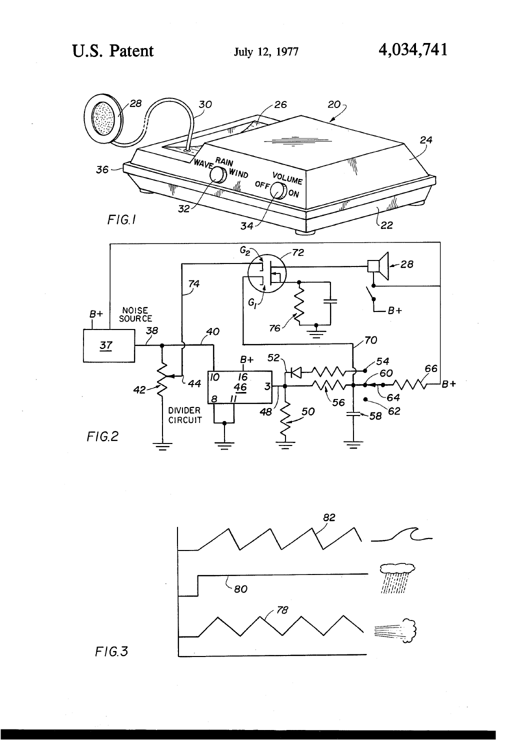





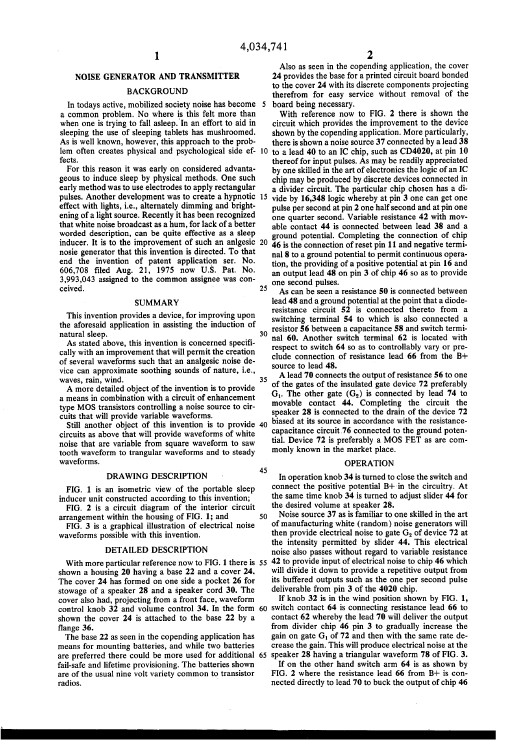45

### NOISE GENERATOR AND TRANSMITTER

#### **BACKGROUND**

In todays active, mobilized society noise has become 5 a common problem. No where is this felt more than when one is trying to fall asleep. In an effort to aid in sleeping the use of sleeping tablets has mushroomed.<br>As is well known, however, this approach to the prob-As is well known, however, this approach to the prob-<br>lem often creates physical and psychological side ef- 10 fects.

For this reason it was early on considered advanta geous to induce sleep by physical methods. One such early method was to use electrodes to apply rectangular effect with lights, i.e., alternately dimming and bright-<br>ening of a light source. Recently it has been recognized that white noise broadcast as a hum, for lack of a better nosie generator that this invention is directed. To that end the invention of patent application ser. No. 606,708 filed Aug. 21, 1975 now U.S. Pat. No. 3,993,043 assigned to the common assignee was con ceived. pulses. Another development was to create a hypnotic 15 inducer. It is to the improvement of such an anlgesic 20

#### SUMMARY

This invention provides a device, for improving upon the aforesaid application in assisting the induction of

natural sleep.<br>As stated above, this invention is concerned specifically with an improvement that will permit the creation of several waveforms such that an analgesic noise de vice can approximate soothing sounds of nature, i.e., waves, rain, wind.

A more detailed object of the invention is to provide a means in combination with a circuit of enhancement type MOS transistors controlling a noise source to cir cuits that will provide variable waveforms.

circuits as above that will provide waveforms of white noise that are variable from square waveform to saw tooth waveform to trangular waveforms and to steady waveforms.

#### DRAWING DESCRIPTION

FIG. 1 is an isometric view of the portable sleep inducer unit constructed according to this invention;

FIG. 2 is a circuit diagram of the interior circuit arrangement within the housing of FIG. 1; and 50

FIG. 3 is a graphical illustration of electrical noise waveforms possible with this invention.

#### DETAILED DESCRIPTION

With more particular reference now to FIG. 1 there is 55 shown a housing 20 having a base 22 and a cover 24. The cover 24 has formed on one side a pocket 26 for stowage of a speaker 28 and a speaker cord 30. The cover also had, projecting from a front face, waveform control knob 32 and volume control 34. In the form 60 shown the cover 24 is attached to the base 22 by a flange 36.

The base 22 as seen in the copending application has means for mounting batteries, and while two batteries are preferred there could be more used for additional 65 speaker 28 having a triangular waveform 78 of FIG. 3. fail-safe and lifetime provisioning. The batteries shown are of the usual nine volt variety common to transistor radios.

Also as seen in the copending application, the cover 24 provides the base for a printed circuit board bonded<br>to the cover 24 with its discrete components projecting therefrom for easy service without removal of the board being necessary.

With reference now to FIG. 2 there is shown the circuit which provides the improvement to the device shown by the copending application. More particularly, there is shown a noise source 37 connected by a lead 38

to a lead 40 to an IC chip, such as CD4020, at pin 10 thereof for input pulses. As may be readily appreciated by one skilled in the art of electronics the logic of an IC chip may be produced by discrete devices connected in a divider circuit. The particular chip chosen has a di

vide by 16,348 logic whereby at pin 3 one can get one pulse per second at pin2 one half second and at pin one one quarter second. Variable resistance 42 with mov able contact 44 is connected between lead 38 and a ground potential. Completing the connection of chip

 $25$ 46 is the connection of reset pin 11 and negative terminal 8 to a ground potential to permit continuous operation, the providing of a positive potential at pin 16 and an output lead 48 on pin 3 of chip 46 so as to provide one second pulses.

30 As can be seen a resistance 50 is connected between lead 48 and a ground potential at the point that a diode resistance circuit 52 is connected thereto from a switching terminal 54 to which is also connected a resistor 56 between a capacitance 58 and switch termi nal 60. Another switch terminal 62 is located with respect to switch 64 so as to controllably vary or pre clude connection of resistance lead 66 from the B source to lead 48.

35 A read 70 connects the output of resistance 50 to one<br>of the gates of the insulated gate device 72 preferably Still another object of this invention is to provide 40 biased at its source in accordance with the resistance-<br>capacitance circuit.76 connected to the ground potential capacity of the capacitance circuit.76 connected to t A lead 70 connects the output of resistance 56 to one  $G_1$ . The other gate  $(G_2)$  is connected by lead 74 to movable contact 44. Completing the circuit the speaker 28 is connected to the drain of the device 72 biased at its source in accordance with the resistance tial. Device 72 is preferably a MOS FET as are commonly known in the market place.

#### OPERATION

In operation knob 34 is turned to close the switch and connect the positive potential B+ in the circuitry. At the same time knob 34 is turned to adjust slider 44 for the desired volume at speaker 28.

Noise source 37 as is familiar to one skilled in the art of manufacturing white (random) noise generators will then provide electrical noise to gate  $G_2$  of device 72 at the intensity permitted by slider 44. This electrical noise also passes without regard to variable resistance 42 to provide input of electrical noise to chip 46 which will divide it down to provide a repetitive output from<br>its buffered outputs such as the one per second pulse

deliverable from pin 3 of the 4020 chip.<br>If knob 32 is in the wind position shown by FIG. 1, switch contact 64 is connecting resistance lead 66 to contact 62 whereby the lead 70 will deliver the output from divider chip 46 pin 3 to gradually increase the gain on gate  $G_1$  of 72 and then with the same rate decrease the gain. This will produce electrical noise at the

If on the other hand switch arm  $64$  is as shown by FIG. 2 where the resistance lead  $66$  from B+ is connected directly to lead 70 to buck the output of chip 46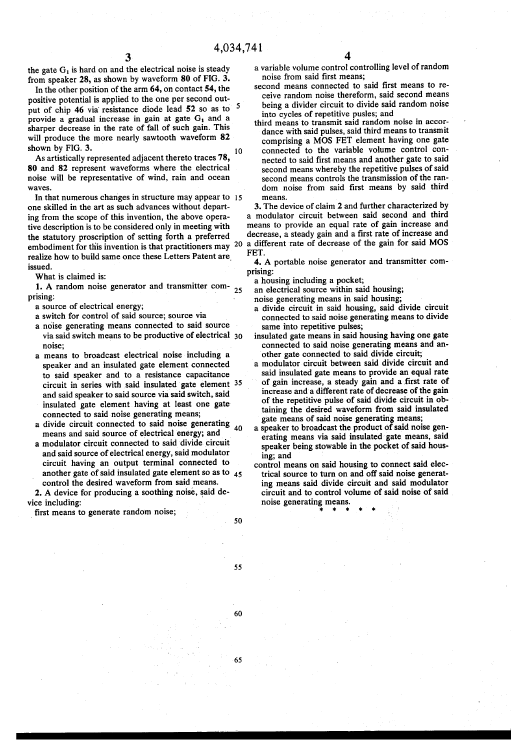the gate  $G_1$  is hard on and the electrical noise is steady from speaker 28, as shown by waveform 80 of FIG. 3.

In the other position of the arm 64, on contact 54, the positive potential is applied to the one per second out-<br> $\frac{1}{2}$  and  $\frac{1}{2}$  for the second output of chip 46 via resistance diode lead 52 so as to provide a gradual increase in gain at gate  $G_1$  and a sharper decrease in the rate of fall of such gain. This will produce the more nearly sawtooth waveform 82 shown by FIG. 3. 10

As artistically represented adjacent thereto traces 78, 80 and 82 represent waveforms where the electrical noise will be representative of wind, rain and ocean wayes.

In that numerous changes in structure may appear to 15 one skilled in the art as such advances without departing from the scope of this invention, the above operative description is to be considered only in meeting with the statutory proscription of setting forth a preferred the statutory proscription of setting forth a preferred decrease, a steady gain and a first face of mercure and<br>embodiment for this invention is that practitioners may 20 a different rate of decrease of the gain for said realize how to build same once these Letters Patent are issued.

What is claimed is:

1. A random noise generator and transmitter com prising: 25

- a source of electrical energy;
- a switch for control of said source; source via
- a noise generating means connected to said source via said switch means to be productive of electrical 30 noise;
- a means to broadcast electrical noise including a speaker and an insulated gate element connected to said speaker and to a resistance capacitance circuit in series with said insulated gate element 35 and said speaker to said source via said switch, said insulated gate element having at least one gate
- connected to said noise generating means; a divide circuit connected to said hoise generating 40 means and said source of electrical energy; and
- a modulator circuit connected to said divide circuit and said source of electrical energy, said modulator circuit having an output terminal connected to another gate of said insulated gate element so as to  $45$ control the desired waveform from said means.

2. A device for producing a soothing noise, said device including:

first means to generate random noise;

- a variable volume control controlling level of random noise from said first means;
- second means connected to said first means to re ceive random noise thereform, said second means<br>being a divider circuit to divide said random noise into cycles of repetitive pusles; and
- third means to transmit said random noise in accor comprising a MOS FET element having one gate connected to the variable volume control connected to said first means and another gate to said second means whereby the repetitive pulses of said second means controls the transmission of the ran dom noise from said first means by said third means.

3. The device of claim 2 and further characterized by a modulator circuit between said second and third means to provide an equal rate of gain increase and decrease, a steady gain and a first rate of increase and FET.

4. A portable noise generator and transmitter com prising:

a housing including a pocket;<br>an electrical source within said housing;

noise generating means in said housing;

- a divide circuit in said housing, said divide circuit connected to said noise generating means to divide
- insulated gate means in said housing having one gate connected to said noise generating means and another gate connected to said divide circuit;
- a modulator circuit between said divide circuit and said insulated gate means to provide an equal rate of gain increase, a steady gain and a first rate of of the repetitive pulse of said divide circuit in obtaining the desired waveform from said insulated gate means of said noise generating means;<br>a speaker to broadcast the product of said noise gen-
- erating means via said insulated gate means, said speaker being stowable in the pocket of said hous ing; and
- control means on said housing to connect said electrical source to turn on and off said noise generating means said divide circuit and said modulator circuit and to control volume of said noise of said noise generating means.

55

50

60

65